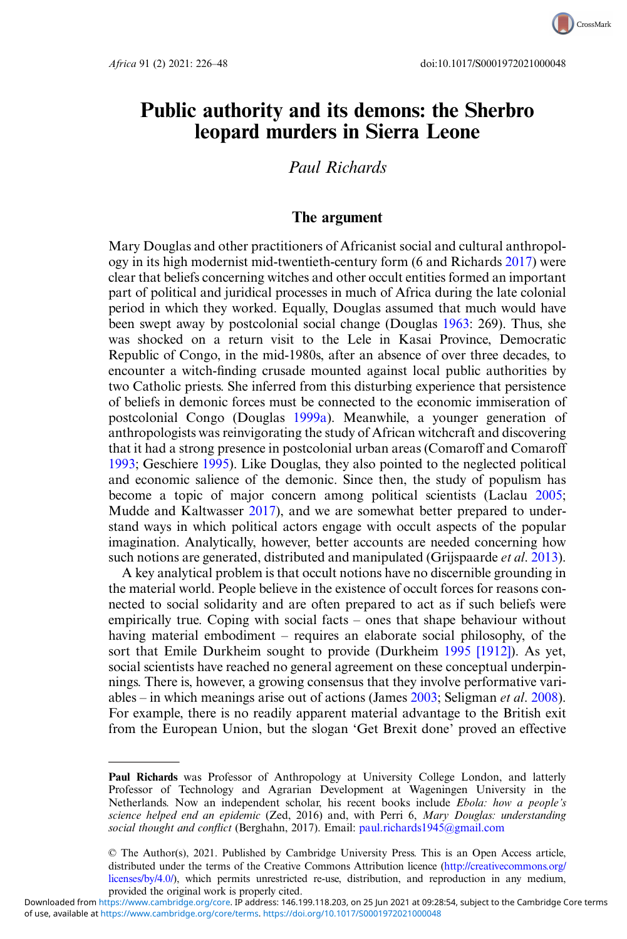

CrossMark

# Public authority and its demons: the Sherbro leopard murders in Sierra Leone

# Paul Richards

# The argument

Mary Douglas and other practitioners of Africanist social and cultural anthropology in its high modernist mid-twentieth-century form (6 and Richards [2017\)](#page-19-0) were clear that beliefs concerning witches and other occult entities formed an important part of political and juridical processes in much of Africa during the late colonial period in which they worked. Equally, Douglas assumed that much would have been swept away by postcolonial social change (Douglas [1963](#page-19-0): 269). Thus, she was shocked on a return visit to the Lele in Kasai Province, Democratic Republic of Congo, in the mid-1980s, after an absence of over three decades, to encounter a witch-finding crusade mounted against local public authorities by two Catholic priests. She inferred from this disturbing experience that persistence of beliefs in demonic forces must be connected to the economic immiseration of postcolonial Congo (Douglas [1999a\)](#page-19-0). Meanwhile, a younger generation of anthropologists was reinvigorating the study of African witchcraft and discovering that it had a strong presence in postcolonial urban areas (Comaroff and Comaroff [1993;](#page-19-0) Geschiere [1995\)](#page-20-0). Like Douglas, they also pointed to the neglected political and economic salience of the demonic. Since then, the study of populism has become a topic of major concern among political scientists (Laclau [2005](#page-20-0); Mudde and Kaltwasser [2017\)](#page-20-0), and we are somewhat better prepared to understand ways in which political actors engage with occult aspects of the popular imagination. Analytically, however, better accounts are needed concerning how such notions are generated, distributed and manipulated (Grijspaarde *et al.* [2013](#page-20-0)).

A key analytical problem is that occult notions have no discernible grounding in the material world. People believe in the existence of occult forces for reasons connected to social solidarity and are often prepared to act as if such beliefs were empirically true. Coping with social facts – ones that shape behaviour without having material embodiment – requires an elaborate social philosophy, of the sort that Emile Durkheim sought to provide (Durkheim [1995 \[1912\]\)](#page-20-0). As yet, social scientists have reached no general agreement on these conceptual underpinnings. There is, however, a growing consensus that they involve performative variables – in which meanings arise out of actions (James  $2003$ ; Seligman *et al.* [2008](#page-21-0)). For example, there is no readily apparent material advantage to the British exit from the European Union, but the slogan 'Get Brexit done' proved an effective

Paul Richards was Professor of Anthropology at University College London, and latterly Professor of Technology and Agrarian Development at Wageningen University in the Netherlands. Now an independent scholar, his recent books include Ebola: how a people's science helped end an epidemic (Zed, 2016) and, with Perri 6, Mary Douglas: understanding social thought and conflict (Berghahn, 2017). Email: [paul.richards1945@gmail.com](mailto:paul.richards1945@gmail.com)

<sup>©</sup> The Author(s), 2021. Published by Cambridge University Press. This is an Open Access article, distributed under the terms of the Creative Commons Attribution licence ([http://creativecommons.org/](http://creativecommons.org/licenses/by/4.0/) [licenses/by/4.0/](http://creativecommons.org/licenses/by/4.0/)), which permits unrestricted re-use, distribution, and reproduction in any medium, provided the original work is properly cited.

of use, available at [https://www.cambridge.org/core/terms.](https://www.cambridge.org/core/terms) <https://doi.org/10.1017/S0001972021000048> Downloaded from [https://www.cambridge.org/core.](https://www.cambridge.org/core) IP address: 146.199.118.203, on 25 Jun 2021 at 09:28:54, subject to the Cambridge Core terms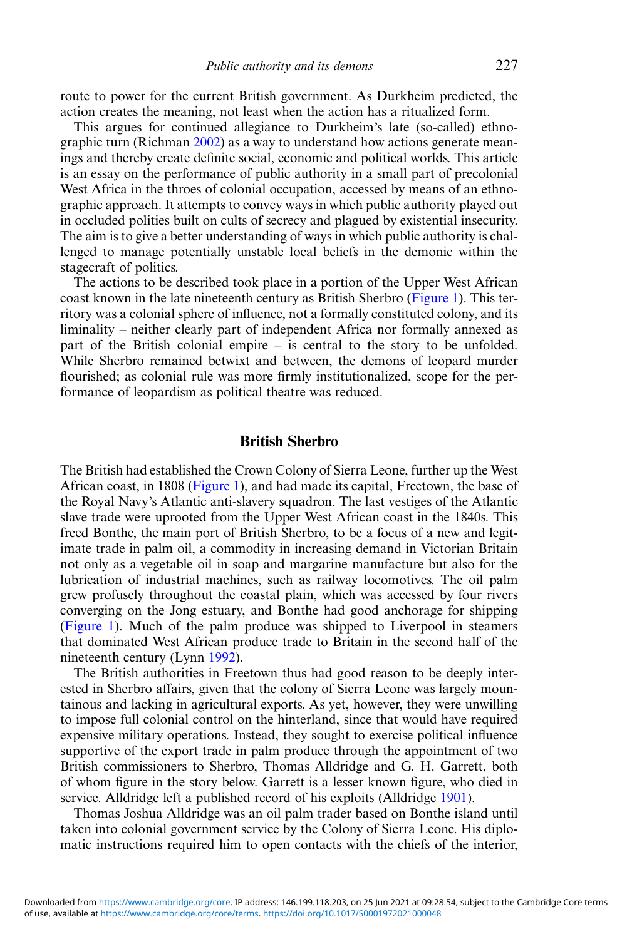route to power for the current British government. As Durkheim predicted, the action creates the meaning, not least when the action has a ritualized form.

This argues for continued allegiance to Durkheim's late (so-called) ethnographic turn (Richman [2002\)](#page-21-0) as a way to understand how actions generate meanings and thereby create definite social, economic and political worlds. This article is an essay on the performance of public authority in a small part of precolonial West Africa in the throes of colonial occupation, accessed by means of an ethnographic approach. It attempts to convey ways in which public authority played out in occluded polities built on cults of secrecy and plagued by existential insecurity. The aim is to give a better understanding of ways in which public authority is challenged to manage potentially unstable local beliefs in the demonic within the stagecraft of politics.

The actions to be described took place in a portion of the Upper West African coast known in the late nineteenth century as British Sherbro [\(Figure 1\)](#page-2-0). This territory was a colonial sphere of influence, not a formally constituted colony, and its liminality – neither clearly part of independent Africa nor formally annexed as part of the British colonial empire – is central to the story to be unfolded. While Sherbro remained betwixt and between, the demons of leopard murder flourished; as colonial rule was more firmly institutionalized, scope for the performance of leopardism as political theatre was reduced.

#### British Sherbro

The British had established the Crown Colony of Sierra Leone, further up the West African coast, in 1808 ([Figure 1](#page-2-0)), and had made its capital, Freetown, the base of the Royal Navy's Atlantic anti-slavery squadron. The last vestiges of the Atlantic slave trade were uprooted from the Upper West African coast in the 1840s. This freed Bonthe, the main port of British Sherbro, to be a focus of a new and legitimate trade in palm oil, a commodity in increasing demand in Victorian Britain not only as a vegetable oil in soap and margarine manufacture but also for the lubrication of industrial machines, such as railway locomotives. The oil palm grew profusely throughout the coastal plain, which was accessed by four rivers converging on the Jong estuary, and Bonthe had good anchorage for shipping ([Figure 1](#page-2-0)). Much of the palm produce was shipped to Liverpool in steamers that dominated West African produce trade to Britain in the second half of the nineteenth century (Lynn [1992](#page-20-0)).

The British authorities in Freetown thus had good reason to be deeply interested in Sherbro affairs, given that the colony of Sierra Leone was largely mountainous and lacking in agricultural exports. As yet, however, they were unwilling to impose full colonial control on the hinterland, since that would have required expensive military operations. Instead, they sought to exercise political influence supportive of the export trade in palm produce through the appointment of two British commissioners to Sherbro, Thomas Alldridge and G. H. Garrett, both of whom figure in the story below. Garrett is a lesser known figure, who died in service. Alldridge left a published record of his exploits (Alldridge [1901\)](#page-19-0).

Thomas Joshua Alldridge was an oil palm trader based on Bonthe island until taken into colonial government service by the Colony of Sierra Leone. His diplomatic instructions required him to open contacts with the chiefs of the interior,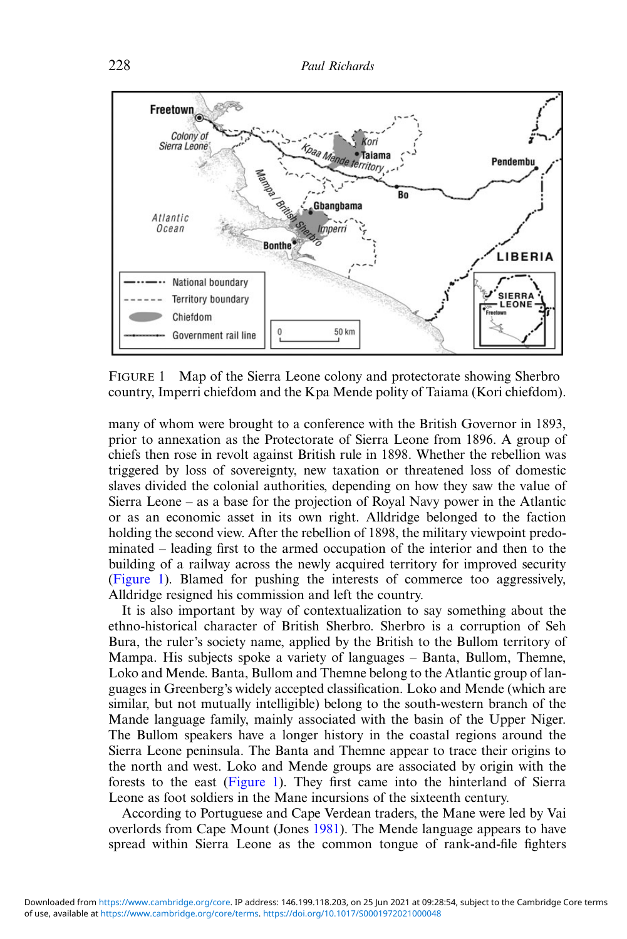<span id="page-2-0"></span>

FIGURE 1 Map of the Sierra Leone colony and protectorate showing Sherbro country, Imperri chiefdom and the Kpa Mende polity of Taiama (Kori chiefdom).

many of whom were brought to a conference with the British Governor in 1893, prior to annexation as the Protectorate of Sierra Leone from 1896. A group of chiefs then rose in revolt against British rule in 1898. Whether the rebellion was triggered by loss of sovereignty, new taxation or threatened loss of domestic slaves divided the colonial authorities, depending on how they saw the value of Sierra Leone – as a base for the projection of Royal Navy power in the Atlantic or as an economic asset in its own right. Alldridge belonged to the faction holding the second view. After the rebellion of 1898, the military viewpoint predominated – leading first to the armed occupation of the interior and then to the building of a railway across the newly acquired territory for improved security (Figure 1). Blamed for pushing the interests of commerce too aggressively, Alldridge resigned his commission and left the country.

It is also important by way of contextualization to say something about the ethno-historical character of British Sherbro. Sherbro is a corruption of Seh Bura, the ruler's society name, applied by the British to the Bullom territory of Mampa. His subjects spoke a variety of languages – Banta, Bullom, Themne, Loko and Mende. Banta, Bullom and Themne belong to the Atlantic group of languages in Greenberg's widely accepted classification. Loko and Mende (which are similar, but not mutually intelligible) belong to the south-western branch of the Mande language family, mainly associated with the basin of the Upper Niger. The Bullom speakers have a longer history in the coastal regions around the Sierra Leone peninsula. The Banta and Themne appear to trace their origins to the north and west. Loko and Mende groups are associated by origin with the forests to the east (Figure 1). They first came into the hinterland of Sierra Leone as foot soldiers in the Mane incursions of the sixteenth century.

According to Portuguese and Cape Verdean traders, the Mane were led by Vai overlords from Cape Mount (Jones [1981\)](#page-20-0). The Mende language appears to have spread within Sierra Leone as the common tongue of rank-and-file fighters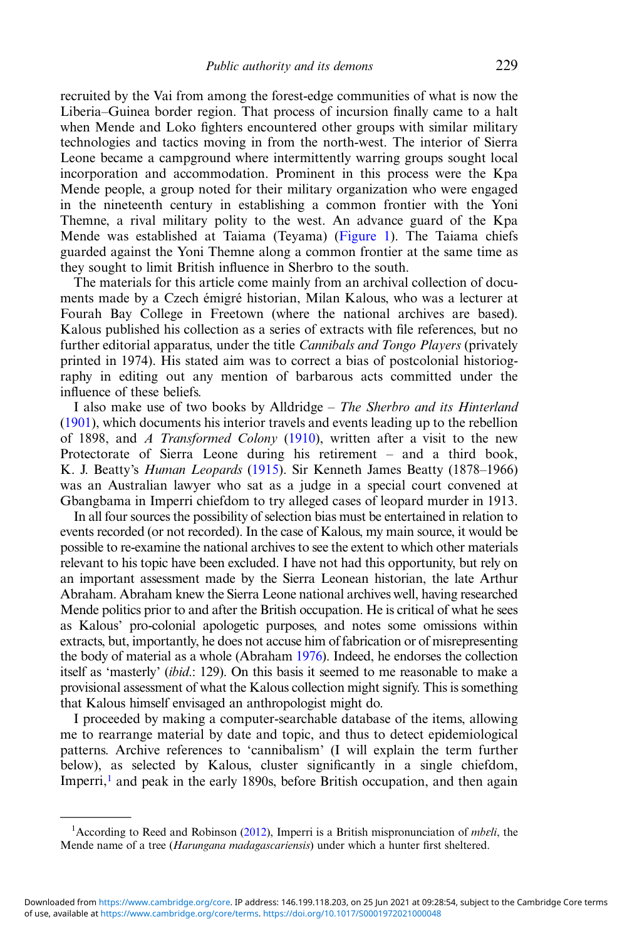recruited by the Vai from among the forest-edge communities of what is now the Liberia–Guinea border region. That process of incursion finally came to a halt when Mende and Loko fighters encountered other groups with similar military technologies and tactics moving in from the north-west. The interior of Sierra Leone became a campground where intermittently warring groups sought local incorporation and accommodation. Prominent in this process were the Kpa Mende people, a group noted for their military organization who were engaged in the nineteenth century in establishing a common frontier with the Yoni Themne, a rival military polity to the west. An advance guard of the Kpa Mende was established at Taiama (Teyama) [\(Figure 1\)](#page-2-0). The Taiama chiefs guarded against the Yoni Themne along a common frontier at the same time as they sought to limit British influence in Sherbro to the south.

The materials for this article come mainly from an archival collection of documents made by a Czech émigré historian, Milan Kalous, who was a lecturer at Fourah Bay College in Freetown (where the national archives are based). Kalous published his collection as a series of extracts with file references, but no further editorial apparatus, under the title *Cannibals and Tongo Players* (privately printed in 1974). His stated aim was to correct a bias of postcolonial historiography in editing out any mention of barbarous acts committed under the influence of these beliefs.

I also make use of two books by Alldridge – The Sherbro and its Hinterland ([1901\)](#page-19-0), which documents his interior travels and events leading up to the rebellion of 1898, and A Transformed Colony ([1910\)](#page-19-0), written after a visit to the new Protectorate of Sierra Leone during his retirement – and a third book, K. J. Beatty's *Human Leopards* ([1915\)](#page-19-0). Sir Kenneth James Beatty (1878–1966) was an Australian lawyer who sat as a judge in a special court convened at Gbangbama in Imperri chiefdom to try alleged cases of leopard murder in 1913.

In all four sources the possibility of selection bias must be entertained in relation to events recorded (or not recorded). In the case of Kalous, my main source, it would be possible to re-examine the national archives to see the extent to which other materials relevant to his topic have been excluded. I have not had this opportunity, but rely on an important assessment made by the Sierra Leonean historian, the late Arthur Abraham. Abraham knew the Sierra Leone national archives well, having researched Mende politics prior to and after the British occupation. He is critical of what he sees as Kalous' pro-colonial apologetic purposes, and notes some omissions within extracts, but, importantly, he does not accuse him of fabrication or of misrepresenting the body of material as a whole (Abraham [1976](#page-19-0)). Indeed, he endorses the collection itself as 'masterly' (ibid.: 129). On this basis it seemed to me reasonable to make a provisional assessment of what the Kalous collection might signify. This is something that Kalous himself envisaged an anthropologist might do.

I proceeded by making a computer-searchable database of the items, allowing me to rearrange material by date and topic, and thus to detect epidemiological patterns. Archive references to 'cannibalism' (I will explain the term further below), as selected by Kalous, cluster significantly in a single chiefdom, Imperri,<sup>1</sup> and peak in the early 1890s, before British occupation, and then again

<sup>&</sup>lt;sup>1</sup> According to Reed and Robinson [\(2012](#page-20-0)), Imperri is a British mispronunciation of *mbɛli*, the Mende name of a tree *(Harungana madagascariensis)* under which a hunter first sheltered.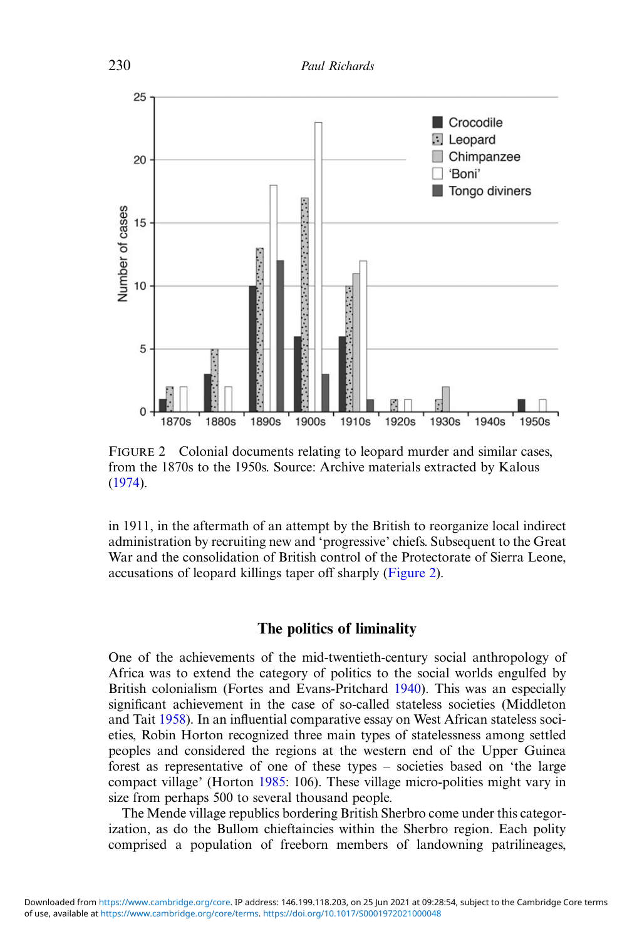<span id="page-4-0"></span>

FIGURE 2 Colonial documents relating to leopard murder and similar cases, from the 1870s to the 1950s. Source: Archive materials extracted by Kalous ([1974\)](#page-20-0).

in 1911, in the aftermath of an attempt by the British to reorganize local indirect administration by recruiting new and 'progressive' chiefs. Subsequent to the Great War and the consolidation of British control of the Protectorate of Sierra Leone, accusations of leopard killings taper off sharply (Figure 2).

#### The politics of liminality

One of the achievements of the mid-twentieth-century social anthropology of Africa was to extend the category of politics to the social worlds engulfed by British colonialism (Fortes and Evans-Pritchard [1940](#page-20-0)). This was an especially significant achievement in the case of so-called stateless societies (Middleton and Tait [1958](#page-20-0)). In an influential comparative essay on West African stateless societies, Robin Horton recognized three main types of statelessness among settled peoples and considered the regions at the western end of the Upper Guinea forest as representative of one of these types – societies based on 'the large compact village' (Horton [1985:](#page-20-0) 106). These village micro-polities might vary in size from perhaps 500 to several thousand people.

The Mende village republics bordering British Sherbro come under this categorization, as do the Bullom chieftaincies within the Sherbro region. Each polity comprised a population of freeborn members of landowning patrilineages,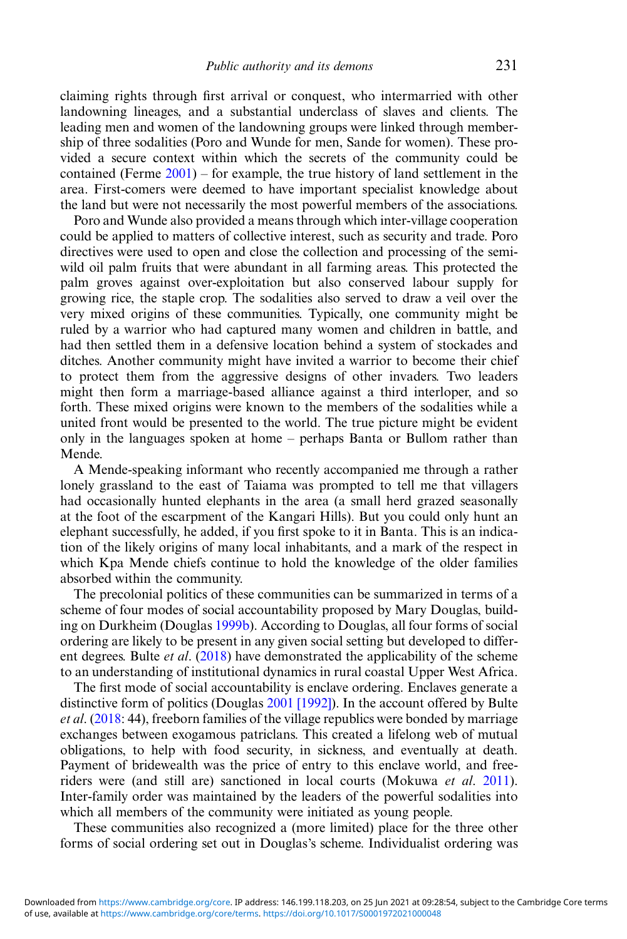claiming rights through first arrival or conquest, who intermarried with other landowning lineages, and a substantial underclass of slaves and clients. The leading men and women of the landowning groups were linked through membership of three sodalities (Poro and Wunde for men, Sande for women). These provided a secure context within which the secrets of the community could be contained (Ferme  $2001$ ) – for example, the true history of land settlement in the area. First-comers were deemed to have important specialist knowledge about the land but were not necessarily the most powerful members of the associations.

Poro and Wunde also provided a means through which inter-village cooperation could be applied to matters of collective interest, such as security and trade. Poro directives were used to open and close the collection and processing of the semiwild oil palm fruits that were abundant in all farming areas. This protected the palm groves against over-exploitation but also conserved labour supply for growing rice, the staple crop. The sodalities also served to draw a veil over the very mixed origins of these communities. Typically, one community might be ruled by a warrior who had captured many women and children in battle, and had then settled them in a defensive location behind a system of stockades and ditches. Another community might have invited a warrior to become their chief to protect them from the aggressive designs of other invaders. Two leaders might then form a marriage-based alliance against a third interloper, and so forth. These mixed origins were known to the members of the sodalities while a united front would be presented to the world. The true picture might be evident only in the languages spoken at home – perhaps Banta or Bullom rather than Mende.

A Mende-speaking informant who recently accompanied me through a rather lonely grassland to the east of Taiama was prompted to tell me that villagers had occasionally hunted elephants in the area (a small herd grazed seasonally at the foot of the escarpment of the Kangari Hills). But you could only hunt an elephant successfully, he added, if you first spoke to it in Banta. This is an indication of the likely origins of many local inhabitants, and a mark of the respect in which Kpa Mende chiefs continue to hold the knowledge of the older families absorbed within the community.

The precolonial politics of these communities can be summarized in terms of a scheme of four modes of social accountability proposed by Mary Douglas, building on Durkheim (Douglas [1999b](#page-19-0)). According to Douglas, all four forms of social ordering are likely to be present in any given social setting but developed to different degrees. Bulte *et al.*  $(2018)$  $(2018)$  have demonstrated the applicability of the scheme to an understanding of institutional dynamics in rural coastal Upper West Africa.

The first mode of social accountability is enclave ordering. Enclaves generate a distinctive form of politics (Douglas [2001 \[1992\]\)](#page-20-0). In the account offered by Bulte et al. ([2018:](#page-19-0) 44), freeborn families of the village republics were bonded by marriage exchanges between exogamous patriclans. This created a lifelong web of mutual obligations, to help with food security, in sickness, and eventually at death. Payment of bridewealth was the price of entry to this enclave world, and freeriders were (and still are) sanctioned in local courts (Mokuwa *et al.* [2011](#page-20-0)). Inter-family order was maintained by the leaders of the powerful sodalities into which all members of the community were initiated as young people.

These communities also recognized a (more limited) place for the three other forms of social ordering set out in Douglas's scheme. Individualist ordering was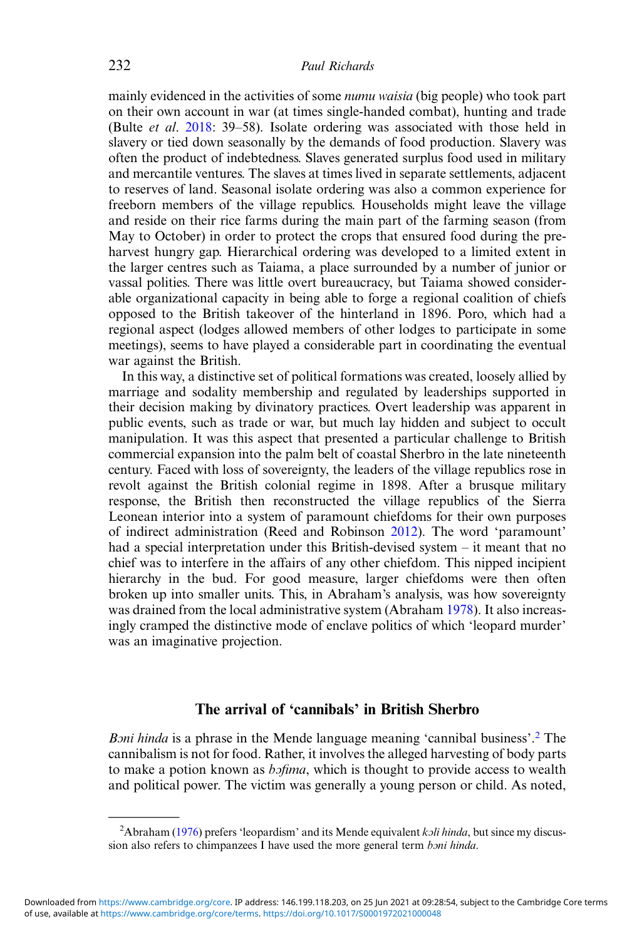mainly evidenced in the activities of some *numu waisia* (big people) who took part on their own account in war (at times single-handed combat), hunting and trade (Bulte et al. [2018:](#page-19-0) 39–58). Isolate ordering was associated with those held in slavery or tied down seasonally by the demands of food production. Slavery was often the product of indebtedness. Slaves generated surplus food used in military and mercantile ventures. The slaves at times lived in separate settlements, adjacent to reserves of land. Seasonal isolate ordering was also a common experience for freeborn members of the village republics. Households might leave the village and reside on their rice farms during the main part of the farming season (from May to October) in order to protect the crops that ensured food during the preharvest hungry gap. Hierarchical ordering was developed to a limited extent in the larger centres such as Taiama, a place surrounded by a number of junior or vassal polities. There was little overt bureaucracy, but Taiama showed considerable organizational capacity in being able to forge a regional coalition of chiefs opposed to the British takeover of the hinterland in 1896. Poro, which had a regional aspect (lodges allowed members of other lodges to participate in some meetings), seems to have played a considerable part in coordinating the eventual war against the British.

In this way, a distinctive set of political formations was created, loosely allied by marriage and sodality membership and regulated by leaderships supported in their decision making by divinatory practices. Overt leadership was apparent in public events, such as trade or war, but much lay hidden and subject to occult manipulation. It was this aspect that presented a particular challenge to British commercial expansion into the palm belt of coastal Sherbro in the late nineteenth century. Faced with loss of sovereignty, the leaders of the village republics rose in revolt against the British colonial regime in 1898. After a brusque military response, the British then reconstructed the village republics of the Sierra Leonean interior into a system of paramount chiefdoms for their own purposes of indirect administration (Reed and Robinson [2012\)](#page-20-0). The word 'paramount' had a special interpretation under this British-devised system – it meant that no chief was to interfere in the affairs of any other chiefdom. This nipped incipient hierarchy in the bud. For good measure, larger chiefdoms were then often broken up into smaller units. This, in Abraham's analysis, was how sovereignty was drained from the local administrative system (Abraham [1978](#page-19-0)). It also increasingly cramped the distinctive mode of enclave politics of which 'leopard murder' was an imaginative projection.

# The arrival of 'cannibals' in British Sherbro

Boni hinda is a phrase in the Mende language meaning 'cannibal business'.<sup>2</sup> The cannibalism is not for food. Rather, it involves the alleged harvesting of body parts to make a potion known as *bofima*, which is thought to provide access to wealth and political power. The victim was generally a young person or child. As noted,

<sup>&</sup>lt;sup>2</sup>Abraham [\(1976](#page-19-0)) prefers 'leopardism' and its Mende equivalent *koli hinda*, but since my discussion also refers to chimpanzees I have used the more general term *boni hinda*.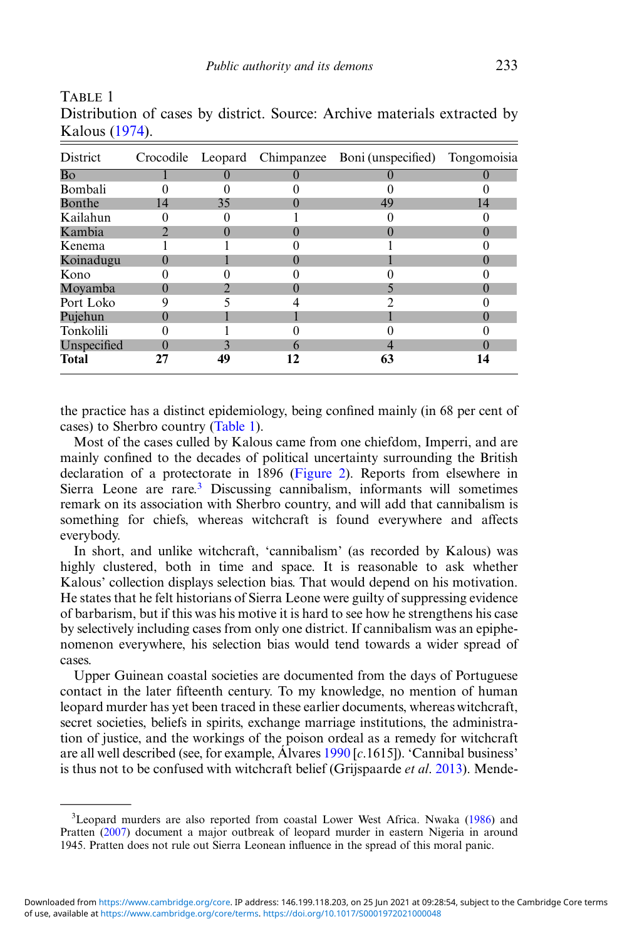| District       |    |    |    | Crocodile Leopard Chimpanzee Boni (unspecified) Tongomoisia |    |
|----------------|----|----|----|-------------------------------------------------------------|----|
| Bo             |    |    |    |                                                             |    |
| <b>Bombali</b> |    |    |    |                                                             |    |
| Bonthe         | 14 | 35 |    | 49                                                          | 14 |
| Kailahun       |    |    |    |                                                             |    |
| Kambia         |    | 0  |    | u                                                           | 0  |
| Kenema         |    |    |    |                                                             |    |
| Koinadugu      |    |    |    |                                                             |    |
| Kono           |    |    |    |                                                             |    |
| Moyamba        |    |    |    |                                                             |    |
| Port Loko      |    |    |    |                                                             |    |
| Pujehun        |    |    |    |                                                             |    |
| Tonkolili      |    |    |    |                                                             |    |
| Unspecified    |    |    | h  |                                                             |    |
| <b>Total</b>   | 27 | 49 | 12 | 63                                                          | 14 |

Distribution of cases by district. Source: Archive materials extracted by Kalous ([1974\)](#page-20-0).

TABLE 1

the practice has a distinct epidemiology, being confined mainly (in 68 per cent of cases) to Sherbro country (Table 1).

Most of the cases culled by Kalous came from one chiefdom, Imperri, and are mainly confined to the decades of political uncertainty surrounding the British declaration of a protectorate in 1896 ([Figure 2\)](#page-4-0). Reports from elsewhere in Sierra Leone are rare.3 Discussing cannibalism, informants will sometimes remark on its association with Sherbro country, and will add that cannibalism is something for chiefs, whereas witchcraft is found everywhere and affects everybody.

In short, and unlike witchcraft, 'cannibalism' (as recorded by Kalous) was highly clustered, both in time and space. It is reasonable to ask whether Kalous' collection displays selection bias. That would depend on his motivation. He states that he felt historians of Sierra Leone were guilty of suppressing evidence of barbarism, but if this was his motive it is hard to see how he strengthens his case by selectively including cases from only one district. If cannibalism was an epiphenomenon everywhere, his selection bias would tend towards a wider spread of cases.

Upper Guinean coastal societies are documented from the days of Portuguese contact in the later fifteenth century. To my knowledge, no mention of human leopard murder has yet been traced in these earlier documents, whereas witchcraft, secret societies, beliefs in spirits, exchange marriage institutions, the administration of justice, and the workings of the poison ordeal as a remedy for witchcraft are all well described (see, for example,  $\widehat{A}$ lvares [1990](#page-19-0) [c.1615]). 'Cannibal business' is thus not to be confused with witchcraft belief (Grijspaarde *et al.* [2013\)](#page-20-0). Mende-

<sup>&</sup>lt;sup>3</sup>Leopard murders are also reported from coastal Lower West Africa. Nwaka ([1986\)](#page-20-0) and Pratten [\(2007](#page-20-0)) document a major outbreak of leopard murder in eastern Nigeria in around 1945. Pratten does not rule out Sierra Leonean influence in the spread of this moral panic.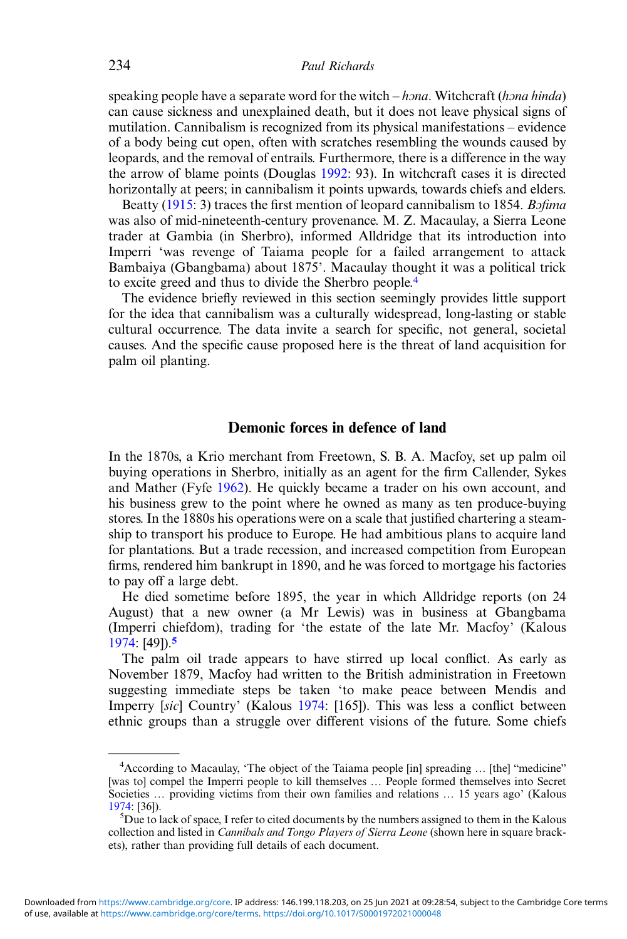speaking people have a separate word for the witch  $-h$  *na*. Witchcraft (*h*<sub>na</sub> hinda) can cause sickness and unexplained death, but it does not leave physical signs of mutilation. Cannibalism is recognized from its physical manifestations – evidence of a body being cut open, often with scratches resembling the wounds caused by leopards, and the removal of entrails. Furthermore, there is a difference in the way the arrow of blame points (Douglas [1992](#page-19-0): 93). In witchcraft cases it is directed horizontally at peers; in cannibalism it points upwards, towards chiefs and elders.

Beatty [\(1915](#page-19-0): 3) traces the first mention of leopard cannibalism to 1854. *Bofima* was also of mid-nineteenth-century provenance. M. Z. Macaulay, a Sierra Leone trader at Gambia (in Sherbro), informed Alldridge that its introduction into Imperri 'was revenge of Taiama people for a failed arrangement to attack Bambaiya (Gbangbama) about 1875'. Macaulay thought it was a political trick to excite greed and thus to divide the Sherbro people.<sup>4</sup>

The evidence briefly reviewed in this section seemingly provides little support for the idea that cannibalism was a culturally widespread, long-lasting or stable cultural occurrence. The data invite a search for specific, not general, societal causes. And the specific cause proposed here is the threat of land acquisition for palm oil planting.

# Demonic forces in defence of land

In the 1870s, a Krio merchant from Freetown, S. B. A. Macfoy, set up palm oil buying operations in Sherbro, initially as an agent for the firm Callender, Sykes and Mather (Fyfe [1962](#page-20-0)). He quickly became a trader on his own account, and his business grew to the point where he owned as many as ten produce-buying stores. In the 1880s his operations were on a scale that justified chartering a steamship to transport his produce to Europe. He had ambitious plans to acquire land for plantations. But a trade recession, and increased competition from European firms, rendered him bankrupt in 1890, and he was forced to mortgage his factories to pay off a large debt.

He died sometime before 1895, the year in which Alldridge reports (on 24 August) that a new owner (a Mr Lewis) was in business at Gbangbama (Imperri chiefdom), trading for 'the estate of the late Mr. Macfoy' (Kalous [1974:](#page-20-0) [49]).<sup>5</sup>

The palm oil trade appears to have stirred up local conflict. As early as November 1879, Macfoy had written to the British administration in Freetown suggesting immediate steps be taken 'to make peace between Mendis and Imperry [sic] Country' (Kalous [1974](#page-20-0): [165]). This was less a conflict between ethnic groups than a struggle over different visions of the future. Some chiefs

<sup>&</sup>lt;sup>4</sup> According to Macaulay, 'The object of the Taiama people [in] spreading ... [the] "medicine" [was to] compel the Imperri people to kill themselves … People formed themselves into Secret Societies ... providing victims from their own families and relations ... 15 years ago' (Kalous [1974](#page-20-0): [36]). <sup>5</sup>

 ${}^{5}$ Due to lack of space, I refer to cited documents by the numbers assigned to them in the Kalous collection and listed in *Cannibals and Tongo Players of Sierra Leone* (shown here in square brackets), rather than providing full details of each document.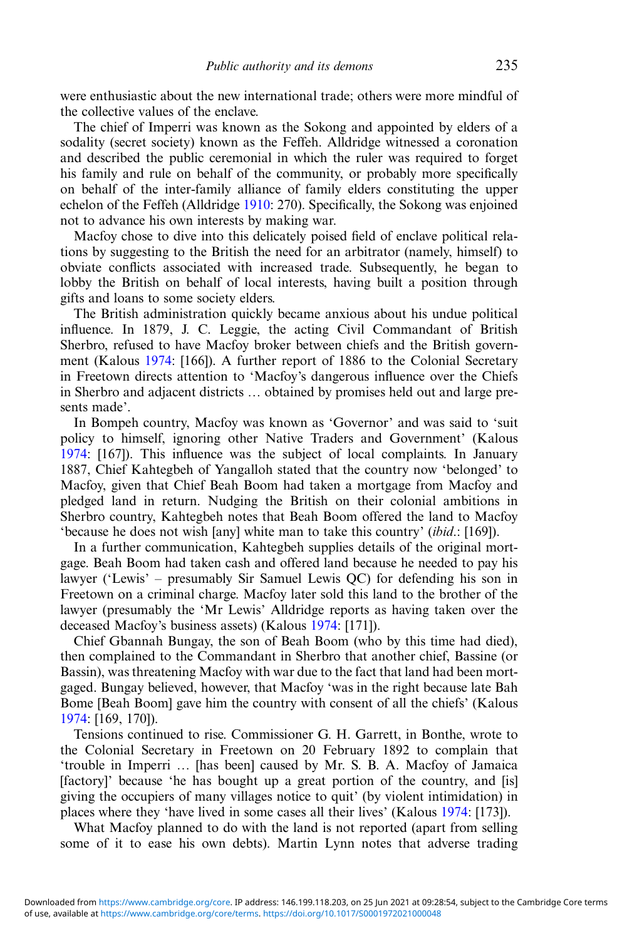were enthusiastic about the new international trade; others were more mindful of the collective values of the enclave.

The chief of Imperri was known as the Sokong and appointed by elders of a sodality (secret society) known as the Feffeh. Alldridge witnessed a coronation and described the public ceremonial in which the ruler was required to forget his family and rule on behalf of the community, or probably more specifically on behalf of the inter-family alliance of family elders constituting the upper echelon of the Feffeh (Alldridge [1910:](#page-19-0) 270). Specifically, the Sokong was enjoined not to advance his own interests by making war.

Macfoy chose to dive into this delicately poised field of enclave political relations by suggesting to the British the need for an arbitrator (namely, himself) to obviate conflicts associated with increased trade. Subsequently, he began to lobby the British on behalf of local interests, having built a position through gifts and loans to some society elders.

The British administration quickly became anxious about his undue political influence. In 1879, J. C. Leggie, the acting Civil Commandant of British Sherbro, refused to have Macfoy broker between chiefs and the British government (Kalous [1974](#page-20-0): [166]). A further report of 1886 to the Colonial Secretary in Freetown directs attention to 'Macfoy's dangerous influence over the Chiefs in Sherbro and adjacent districts … obtained by promises held out and large presents made'.

In Bompeh country, Macfoy was known as 'Governor' and was said to 'suit policy to himself, ignoring other Native Traders and Government' (Kalous [1974:](#page-20-0) [167]). This influence was the subject of local complaints. In January 1887, Chief Kahtegbeh of Yangalloh stated that the country now 'belonged' to Macfoy, given that Chief Beah Boom had taken a mortgage from Macfoy and pledged land in return. Nudging the British on their colonial ambitions in Sherbro country, Kahtegbeh notes that Beah Boom offered the land to Macfoy 'because he does not wish [any] white man to take this country' (ibid.: [169]).

In a further communication, Kahtegbeh supplies details of the original mortgage. Beah Boom had taken cash and offered land because he needed to pay his lawyer ('Lewis' – presumably Sir Samuel Lewis QC) for defending his son in Freetown on a criminal charge. Macfoy later sold this land to the brother of the lawyer (presumably the 'Mr Lewis' Alldridge reports as having taken over the deceased Macfoy's business assets) (Kalous [1974](#page-20-0): [171]).

Chief Gbannah Bungay, the son of Beah Boom (who by this time had died), then complained to the Commandant in Sherbro that another chief, Bassine (or Bassin), was threatening Macfoy with war due to the fact that land had been mortgaged. Bungay believed, however, that Macfoy 'was in the right because late Bah Bome [Beah Boom] gave him the country with consent of all the chiefs' (Kalous [1974:](#page-20-0) [169, 170]).

Tensions continued to rise. Commissioner G. H. Garrett, in Bonthe, wrote to the Colonial Secretary in Freetown on 20 February 1892 to complain that 'trouble in Imperri … [has been] caused by Mr. S. B. A. Macfoy of Jamaica [factory]' because 'he has bought up a great portion of the country, and [is] giving the occupiers of many villages notice to quit' (by violent intimidation) in places where they 'have lived in some cases all their lives' (Kalous [1974](#page-20-0): [173]).

What Macfoy planned to do with the land is not reported (apart from selling some of it to ease his own debts). Martin Lynn notes that adverse trading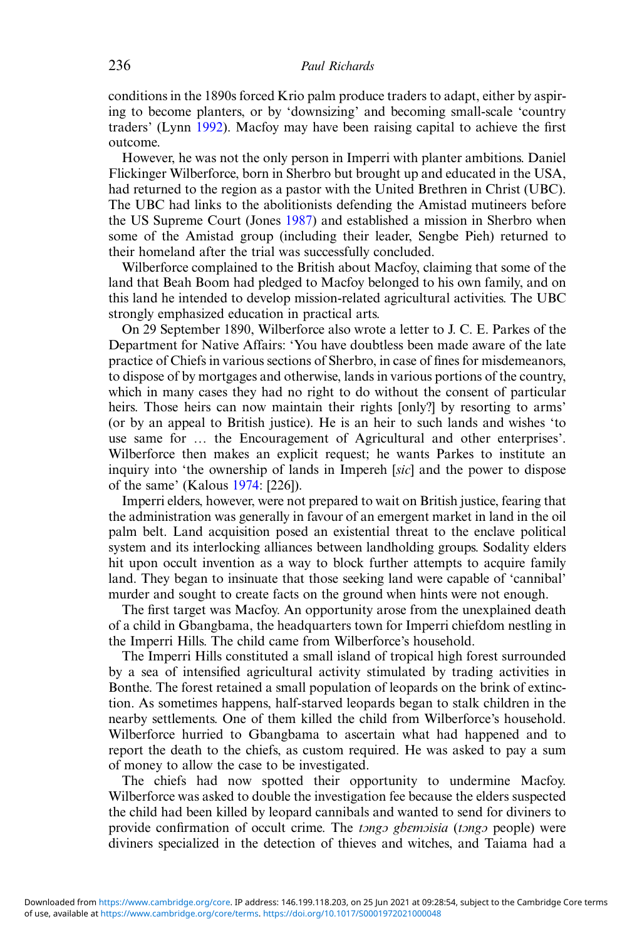conditions in the 1890s forced Krio palm produce traders to adapt, either by aspiring to become planters, or by 'downsizing' and becoming small-scale 'country traders' (Lynn [1992](#page-20-0)). Macfoy may have been raising capital to achieve the first outcome.

However, he was not the only person in Imperri with planter ambitions. Daniel Flickinger Wilberforce, born in Sherbro but brought up and educated in the USA, had returned to the region as a pastor with the United Brethren in Christ (UBC). The UBC had links to the abolitionists defending the Amistad mutineers before the US Supreme Court (Jones [1987\)](#page-20-0) and established a mission in Sherbro when some of the Amistad group (including their leader, Sengbe Pieh) returned to their homeland after the trial was successfully concluded.

Wilberforce complained to the British about Macfoy, claiming that some of the land that Beah Boom had pledged to Macfoy belonged to his own family, and on this land he intended to develop mission-related agricultural activities. The UBC strongly emphasized education in practical arts.

On 29 September 1890, Wilberforce also wrote a letter to J. C. E. Parkes of the Department for Native Affairs: 'You have doubtless been made aware of the late practice of Chiefs in various sections of Sherbro, in case of fines for misdemeanors, to dispose of by mortgages and otherwise, lands in various portions of the country, which in many cases they had no right to do without the consent of particular heirs. Those heirs can now maintain their rights [only?] by resorting to arms' (or by an appeal to British justice). He is an heir to such lands and wishes 'to use same for … the Encouragement of Agricultural and other enterprises'. Wilberforce then makes an explicit request; he wants Parkes to institute an inquiry into 'the ownership of lands in Impereh [sic] and the power to dispose of the same' (Kalous [1974](#page-20-0): [226]).

Imperri elders, however, were not prepared to wait on British justice, fearing that the administration was generally in favour of an emergent market in land in the oil palm belt. Land acquisition posed an existential threat to the enclave political system and its interlocking alliances between landholding groups. Sodality elders hit upon occult invention as a way to block further attempts to acquire family land. They began to insinuate that those seeking land were capable of 'cannibal' murder and sought to create facts on the ground when hints were not enough.

The first target was Macfoy. An opportunity arose from the unexplained death of a child in Gbangbama, the headquarters town for Imperri chiefdom nestling in the Imperri Hills. The child came from Wilberforce's household.

The Imperri Hills constituted a small island of tropical high forest surrounded by a sea of intensified agricultural activity stimulated by trading activities in Bonthe. The forest retained a small population of leopards on the brink of extinction. As sometimes happens, half-starved leopards began to stalk children in the nearby settlements. One of them killed the child from Wilberforce's household. Wilberforce hurried to Gbangbama to ascertain what had happened and to report the death to the chiefs, as custom required. He was asked to pay a sum of money to allow the case to be investigated.

The chiefs had now spotted their opportunity to undermine Macfoy. Wilberforce was asked to double the investigation fee because the elders suspected the child had been killed by leopard cannibals and wanted to send for diviners to provide confirmation of occult crime. The tongo gbemoisia (tongo people) were diviners specialized in the detection of thieves and witches, and Taiama had a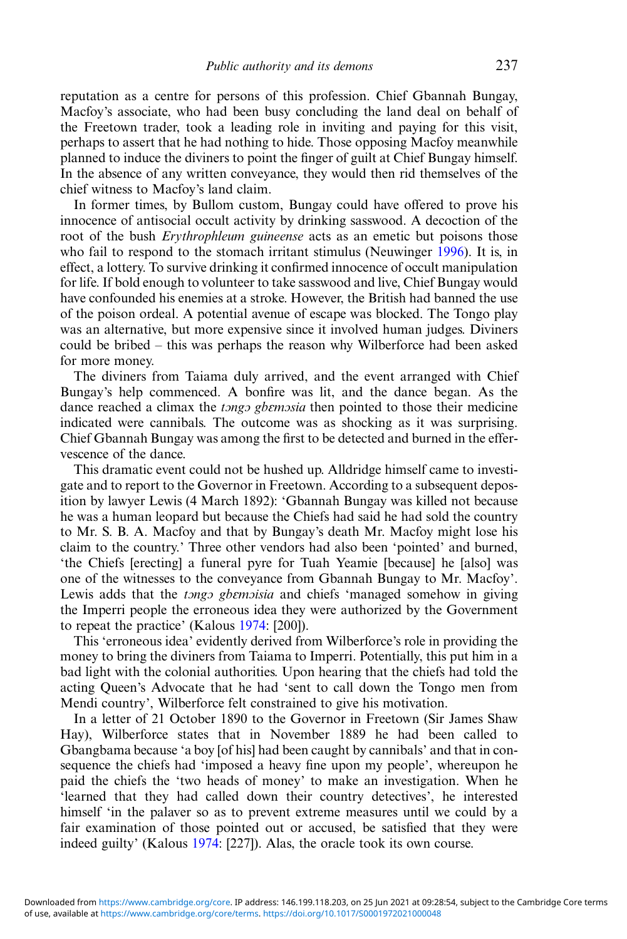reputation as a centre for persons of this profession. Chief Gbannah Bungay, Macfoy's associate, who had been busy concluding the land deal on behalf of the Freetown trader, took a leading role in inviting and paying for this visit, perhaps to assert that he had nothing to hide. Those opposing Macfoy meanwhile planned to induce the diviners to point the finger of guilt at Chief Bungay himself. In the absence of any written conveyance, they would then rid themselves of the chief witness to Macfoy's land claim.

In former times, by Bullom custom, Bungay could have offered to prove his innocence of antisocial occult activity by drinking sasswood. A decoction of the root of the bush *Erythrophleum guineense* acts as an emetic but poisons those who fail to respond to the stomach irritant stimulus (Neuwinger [1996\)](#page-20-0). It is, in effect, a lottery. To survive drinking it confirmed innocence of occult manipulation for life. If bold enough to volunteer to take sasswood and live, Chief Bungay would have confounded his enemies at a stroke. However, the British had banned the use of the poison ordeal. A potential avenue of escape was blocked. The Tongo play was an alternative, but more expensive since it involved human judges. Diviners could be bribed – this was perhaps the reason why Wilberforce had been asked for more money.

The diviners from Taiama duly arrived, and the event arranged with Chief Bungay's help commenced. A bonfire was lit, and the dance began. As the dance reached a climax the *tongo gbemosia* then pointed to those their medicine indicated were cannibals. The outcome was as shocking as it was surprising. Chief Gbannah Bungay was among the first to be detected and burned in the effervescence of the dance.

This dramatic event could not be hushed up. Alldridge himself came to investigate and to report to the Governor in Freetown. According to a subsequent deposition by lawyer Lewis (4 March 1892): 'Gbannah Bungay was killed not because he was a human leopard but because the Chiefs had said he had sold the country to Mr. S. B. A. Macfoy and that by Bungay's death Mr. Macfoy might lose his claim to the country.' Three other vendors had also been 'pointed' and burned, 'the Chiefs [erecting] a funeral pyre for Tuah Yeamie [because] he [also] was one of the witnesses to the conveyance from Gbannah Bungay to Mr. Macfoy'. Lewis adds that the *tongo gbemoisia* and chiefs 'managed somehow in giving the Imperri people the erroneous idea they were authorized by the Government to repeat the practice' (Kalous [1974:](#page-20-0) [200]).

This 'erroneous idea' evidently derived from Wilberforce's role in providing the money to bring the diviners from Taiama to Imperri. Potentially, this put him in a bad light with the colonial authorities. Upon hearing that the chiefs had told the acting Queen's Advocate that he had 'sent to call down the Tongo men from Mendi country', Wilberforce felt constrained to give his motivation.

In a letter of 21 October 1890 to the Governor in Freetown (Sir James Shaw Hay), Wilberforce states that in November 1889 he had been called to Gbangbama because 'a boy [of his] had been caught by cannibals' and that in consequence the chiefs had 'imposed a heavy fine upon my people', whereupon he paid the chiefs the 'two heads of money' to make an investigation. When he 'learned that they had called down their country detectives', he interested himself 'in the palaver so as to prevent extreme measures until we could by a fair examination of those pointed out or accused, be satisfied that they were indeed guilty' (Kalous [1974](#page-20-0): [227]). Alas, the oracle took its own course.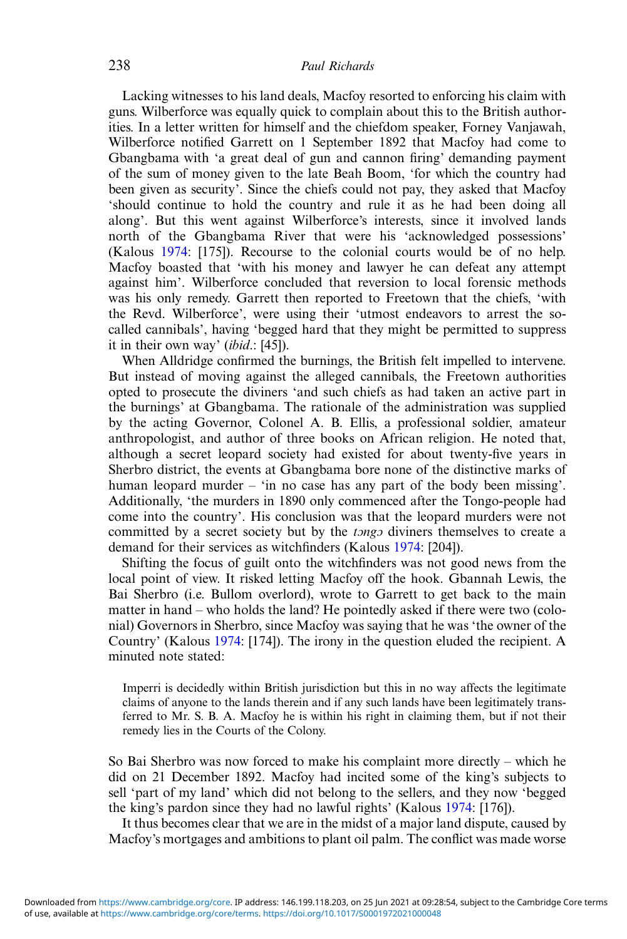Lacking witnesses to his land deals, Macfoy resorted to enforcing his claim with guns. Wilberforce was equally quick to complain about this to the British authorities. In a letter written for himself and the chiefdom speaker, Forney Vanjawah, Wilberforce notified Garrett on 1 September 1892 that Macfoy had come to Gbangbama with 'a great deal of gun and cannon firing' demanding payment of the sum of money given to the late Beah Boom, 'for which the country had been given as security'. Since the chiefs could not pay, they asked that Macfoy 'should continue to hold the country and rule it as he had been doing all along'. But this went against Wilberforce's interests, since it involved lands north of the Gbangbama River that were his 'acknowledged possessions' (Kalous [1974](#page-20-0): [175]). Recourse to the colonial courts would be of no help. Macfoy boasted that 'with his money and lawyer he can defeat any attempt against him'. Wilberforce concluded that reversion to local forensic methods was his only remedy. Garrett then reported to Freetown that the chiefs, 'with the Revd. Wilberforce', were using their 'utmost endeavors to arrest the socalled cannibals', having 'begged hard that they might be permitted to suppress it in their own way' *(ibid.*: [45]).

When Alldridge confirmed the burnings, the British felt impelled to intervene. But instead of moving against the alleged cannibals, the Freetown authorities opted to prosecute the diviners 'and such chiefs as had taken an active part in the burnings' at Gbangbama. The rationale of the administration was supplied by the acting Governor, Colonel A. B. Ellis, a professional soldier, amateur anthropologist, and author of three books on African religion. He noted that, although a secret leopard society had existed for about twenty-five years in Sherbro district, the events at Gbangbama bore none of the distinctive marks of human leopard murder – 'in no case has any part of the body been missing'. Additionally, 'the murders in 1890 only commenced after the Tongo-people had come into the country'. His conclusion was that the leopard murders were not committed by a secret society but by the *tongo* diviners themselves to create a demand for their services as witchfinders (Kalous [1974:](#page-20-0) [204]).

Shifting the focus of guilt onto the witchfinders was not good news from the local point of view. It risked letting Macfoy off the hook. Gbannah Lewis, the Bai Sherbro (i.e. Bullom overlord), wrote to Garrett to get back to the main matter in hand – who holds the land? He pointedly asked if there were two (colonial) Governors in Sherbro, since Macfoy was saying that he was 'the owner of the Country' (Kalous [1974](#page-20-0): [174]). The irony in the question eluded the recipient. A minuted note stated:

Imperri is decidedly within British jurisdiction but this in no way affects the legitimate claims of anyone to the lands therein and if any such lands have been legitimately transferred to Mr. S. B. A. Macfoy he is within his right in claiming them, but if not their remedy lies in the Courts of the Colony.

So Bai Sherbro was now forced to make his complaint more directly – which he did on 21 December 1892. Macfoy had incited some of the king's subjects to sell 'part of my land' which did not belong to the sellers, and they now 'begged the king's pardon since they had no lawful rights' (Kalous [1974](#page-20-0): [176]).

It thus becomes clear that we are in the midst of a major land dispute, caused by Macfoy's mortgages and ambitions to plant oil palm. The conflict was made worse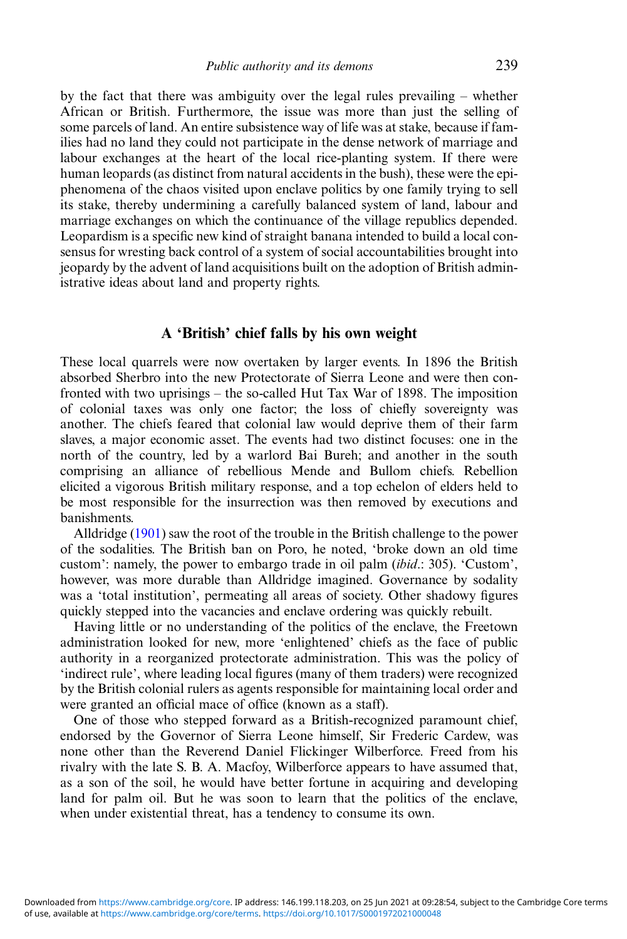by the fact that there was ambiguity over the legal rules prevailing – whether African or British. Furthermore, the issue was more than just the selling of some parcels of land. An entire subsistence way of life was at stake, because if families had no land they could not participate in the dense network of marriage and labour exchanges at the heart of the local rice-planting system. If there were human leopards (as distinct from natural accidents in the bush), these were the epiphenomena of the chaos visited upon enclave politics by one family trying to sell its stake, thereby undermining a carefully balanced system of land, labour and marriage exchanges on which the continuance of the village republics depended. Leopardism is a specific new kind of straight banana intended to build a local consensus for wresting back control of a system of social accountabilities brought into jeopardy by the advent of land acquisitions built on the adoption of British administrative ideas about land and property rights.

# A 'British' chief falls by his own weight

These local quarrels were now overtaken by larger events. In 1896 the British absorbed Sherbro into the new Protectorate of Sierra Leone and were then confronted with two uprisings – the so-called Hut Tax War of 1898. The imposition of colonial taxes was only one factor; the loss of chiefly sovereignty was another. The chiefs feared that colonial law would deprive them of their farm slaves, a major economic asset. The events had two distinct focuses: one in the north of the country, led by a warlord Bai Bureh; and another in the south comprising an alliance of rebellious Mende and Bullom chiefs. Rebellion elicited a vigorous British military response, and a top echelon of elders held to be most responsible for the insurrection was then removed by executions and banishments.

Alldridge ([1901](#page-19-0)) saw the root of the trouble in the British challenge to the power of the sodalities. The British ban on Poro, he noted, 'broke down an old time custom': namely, the power to embargo trade in oil palm (ibid.: 305). 'Custom', however, was more durable than Alldridge imagined. Governance by sodality was a 'total institution', permeating all areas of society. Other shadowy figures quickly stepped into the vacancies and enclave ordering was quickly rebuilt.

Having little or no understanding of the politics of the enclave, the Freetown administration looked for new, more 'enlightened' chiefs as the face of public authority in a reorganized protectorate administration. This was the policy of 'indirect rule', where leading local figures (many of them traders) were recognized by the British colonial rulers as agents responsible for maintaining local order and were granted an official mace of office (known as a staff).

One of those who stepped forward as a British-recognized paramount chief, endorsed by the Governor of Sierra Leone himself, Sir Frederic Cardew, was none other than the Reverend Daniel Flickinger Wilberforce. Freed from his rivalry with the late S. B. A. Macfoy, Wilberforce appears to have assumed that, as a son of the soil, he would have better fortune in acquiring and developing land for palm oil. But he was soon to learn that the politics of the enclave, when under existential threat, has a tendency to consume its own.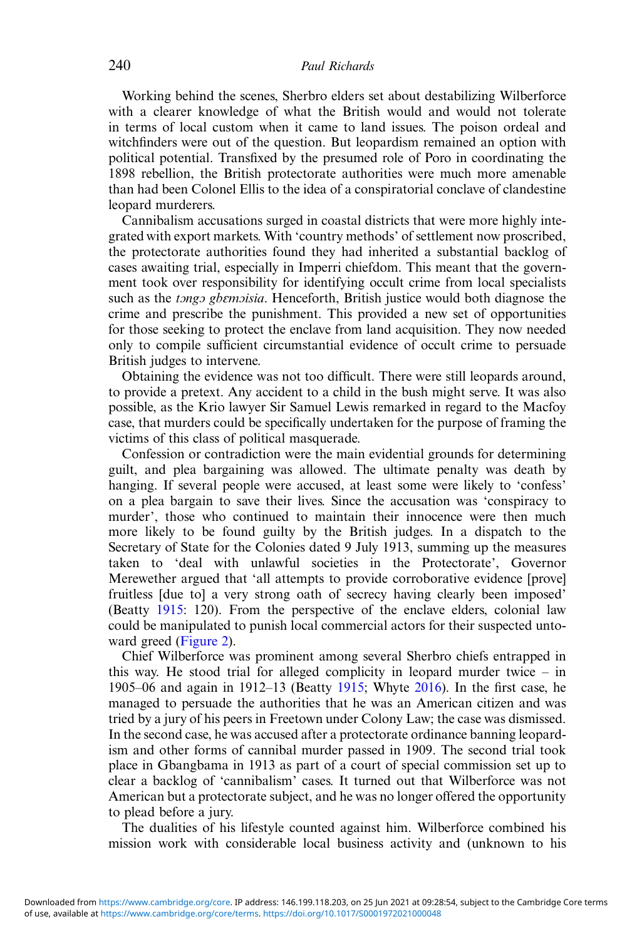Working behind the scenes, Sherbro elders set about destabilizing Wilberforce with a clearer knowledge of what the British would and would not tolerate in terms of local custom when it came to land issues. The poison ordeal and witchfinders were out of the question. But leopardism remained an option with political potential. Transfixed by the presumed role of Poro in coordinating the 1898 rebellion, the British protectorate authorities were much more amenable than had been Colonel Ellis to the idea of a conspiratorial conclave of clandestine leopard murderers.

Cannibalism accusations surged in coastal districts that were more highly integrated with export markets. With 'country methods' of settlement now proscribed, the protectorate authorities found they had inherited a substantial backlog of cases awaiting trial, especially in Imperri chiefdom. This meant that the government took over responsibility for identifying occult crime from local specialists such as the *tongo gbemoisia*. Henceforth, British justice would both diagnose the crime and prescribe the punishment. This provided a new set of opportunities for those seeking to protect the enclave from land acquisition. They now needed only to compile sufficient circumstantial evidence of occult crime to persuade British judges to intervene.

Obtaining the evidence was not too difficult. There were still leopards around, to provide a pretext. Any accident to a child in the bush might serve. It was also possible, as the Krio lawyer Sir Samuel Lewis remarked in regard to the Macfoy case, that murders could be specifically undertaken for the purpose of framing the victims of this class of political masquerade.

Confession or contradiction were the main evidential grounds for determining guilt, and plea bargaining was allowed. The ultimate penalty was death by hanging. If several people were accused, at least some were likely to 'confess' on a plea bargain to save their lives. Since the accusation was 'conspiracy to murder', those who continued to maintain their innocence were then much more likely to be found guilty by the British judges. In a dispatch to the Secretary of State for the Colonies dated 9 July 1913, summing up the measures taken to 'deal with unlawful societies in the Protectorate', Governor Merewether argued that 'all attempts to provide corroborative evidence [prove] fruitless [due to] a very strong oath of secrecy having clearly been imposed' (Beatty [1915](#page-19-0): 120). From the perspective of the enclave elders, colonial law could be manipulated to punish local commercial actors for their suspected untoward greed [\(Figure 2](#page-4-0)).

Chief Wilberforce was prominent among several Sherbro chiefs entrapped in this way. He stood trial for alleged complicity in leopard murder twice – in 1905–06 and again in 1912–13 (Beatty [1915](#page-19-0); Whyte [2016\)](#page-21-0). In the first case, he managed to persuade the authorities that he was an American citizen and was tried by a jury of his peers in Freetown under Colony Law; the case was dismissed. In the second case, he was accused after a protectorate ordinance banning leopardism and other forms of cannibal murder passed in 1909. The second trial took place in Gbangbama in 1913 as part of a court of special commission set up to clear a backlog of 'cannibalism' cases. It turned out that Wilberforce was not American but a protectorate subject, and he was no longer offered the opportunity to plead before a jury.

The dualities of his lifestyle counted against him. Wilberforce combined his mission work with considerable local business activity and (unknown to his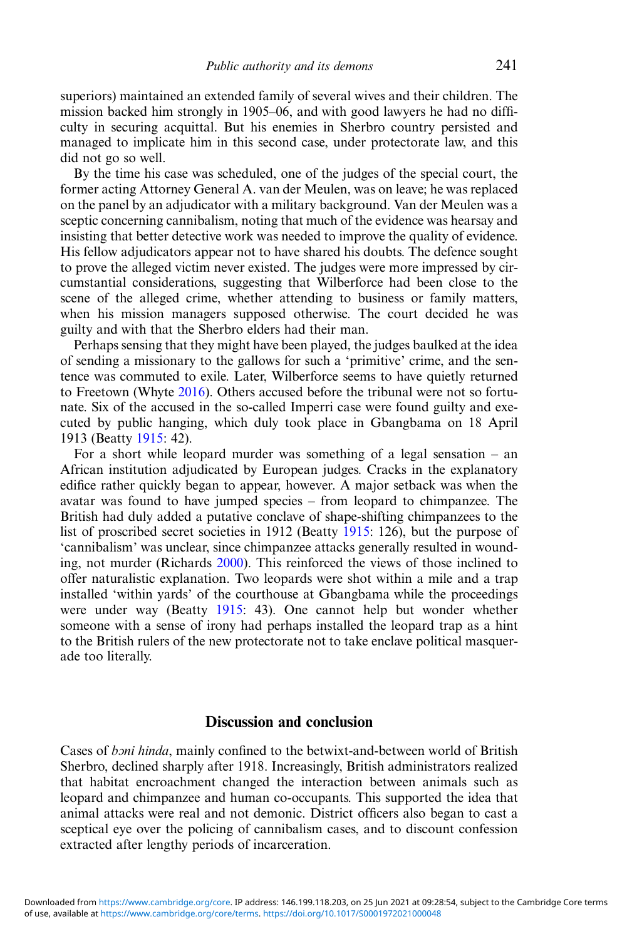superiors) maintained an extended family of several wives and their children. The mission backed him strongly in 1905–06, and with good lawyers he had no difficulty in securing acquittal. But his enemies in Sherbro country persisted and managed to implicate him in this second case, under protectorate law, and this did not go so well.

By the time his case was scheduled, one of the judges of the special court, the former acting Attorney General A. van der Meulen, was on leave; he was replaced on the panel by an adjudicator with a military background. Van der Meulen was a sceptic concerning cannibalism, noting that much of the evidence was hearsay and insisting that better detective work was needed to improve the quality of evidence. His fellow adjudicators appear not to have shared his doubts. The defence sought to prove the alleged victim never existed. The judges were more impressed by circumstantial considerations, suggesting that Wilberforce had been close to the scene of the alleged crime, whether attending to business or family matters, when his mission managers supposed otherwise. The court decided he was guilty and with that the Sherbro elders had their man.

Perhaps sensing that they might have been played, the judges baulked at the idea of sending a missionary to the gallows for such a 'primitive' crime, and the sentence was commuted to exile. Later, Wilberforce seems to have quietly returned to Freetown (Whyte [2016\)](#page-21-0). Others accused before the tribunal were not so fortunate. Six of the accused in the so-called Imperri case were found guilty and executed by public hanging, which duly took place in Gbangbama on 18 April 1913 (Beatty [1915](#page-19-0): 42).

For a short while leopard murder was something of a legal sensation – an African institution adjudicated by European judges. Cracks in the explanatory edifice rather quickly began to appear, however. A major setback was when the avatar was found to have jumped species – from leopard to chimpanzee. The British had duly added a putative conclave of shape-shifting chimpanzees to the list of proscribed secret societies in 1912 (Beatty [1915](#page-19-0): 126), but the purpose of 'cannibalism' was unclear, since chimpanzee attacks generally resulted in wounding, not murder (Richards [2000\)](#page-21-0). This reinforced the views of those inclined to offer naturalistic explanation. Two leopards were shot within a mile and a trap installed 'within yards' of the courthouse at Gbangbama while the proceedings were under way (Beatty [1915](#page-19-0): 43). One cannot help but wonder whether someone with a sense of irony had perhaps installed the leopard trap as a hint to the British rulers of the new protectorate not to take enclave political masquerade too literally.

#### Discussion and conclusion

Cases of boni hinda, mainly confined to the betwixt-and-between world of British Sherbro, declined sharply after 1918. Increasingly, British administrators realized that habitat encroachment changed the interaction between animals such as leopard and chimpanzee and human co-occupants. This supported the idea that animal attacks were real and not demonic. District officers also began to cast a sceptical eye over the policing of cannibalism cases, and to discount confession extracted after lengthy periods of incarceration.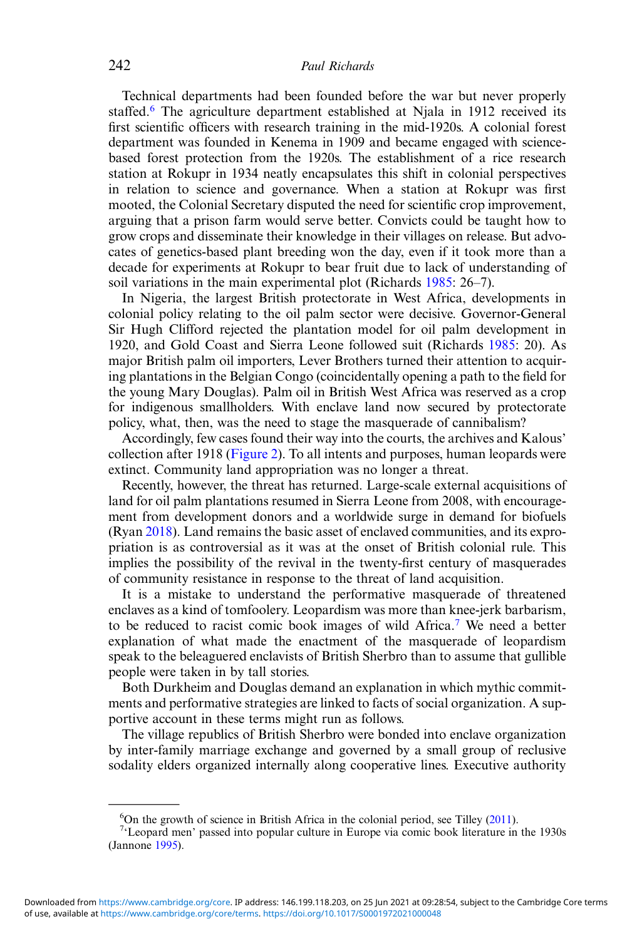Technical departments had been founded before the war but never properly staffed.<sup>6</sup> The agriculture department established at Njala in 1912 received its first scientific officers with research training in the mid-1920s. A colonial forest department was founded in Kenema in 1909 and became engaged with sciencebased forest protection from the 1920s. The establishment of a rice research station at Rokupr in 1934 neatly encapsulates this shift in colonial perspectives in relation to science and governance. When a station at Rokupr was first mooted, the Colonial Secretary disputed the need for scientific crop improvement, arguing that a prison farm would serve better. Convicts could be taught how to grow crops and disseminate their knowledge in their villages on release. But advocates of genetics-based plant breeding won the day, even if it took more than a decade for experiments at Rokupr to bear fruit due to lack of understanding of soil variations in the main experimental plot (Richards [1985](#page-21-0): 26–7).

In Nigeria, the largest British protectorate in West Africa, developments in colonial policy relating to the oil palm sector were decisive. Governor-General Sir Hugh Clifford rejected the plantation model for oil palm development in 1920, and Gold Coast and Sierra Leone followed suit (Richards [1985:](#page-21-0) 20). As major British palm oil importers, Lever Brothers turned their attention to acquiring plantations in the Belgian Congo (coincidentally opening a path to the field for the young Mary Douglas). Palm oil in British West Africa was reserved as a crop for indigenous smallholders. With enclave land now secured by protectorate policy, what, then, was the need to stage the masquerade of cannibalism?

Accordingly, few cases found their way into the courts, the archives and Kalous' collection after 1918 ([Figure 2](#page-4-0)). To all intents and purposes, human leopards were extinct. Community land appropriation was no longer a threat.

Recently, however, the threat has returned. Large-scale external acquisitions of land for oil palm plantations resumed in Sierra Leone from 2008, with encouragement from development donors and a worldwide surge in demand for biofuels (Ryan [2018\)](#page-21-0). Land remains the basic asset of enclaved communities, and its expropriation is as controversial as it was at the onset of British colonial rule. This implies the possibility of the revival in the twenty-first century of masquerades of community resistance in response to the threat of land acquisition.

It is a mistake to understand the performative masquerade of threatened enclaves as a kind of tomfoolery. Leopardism was more than knee-jerk barbarism, to be reduced to racist comic book images of wild Africa.7 We need a better explanation of what made the enactment of the masquerade of leopardism speak to the beleaguered enclavists of British Sherbro than to assume that gullible people were taken in by tall stories.

Both Durkheim and Douglas demand an explanation in which mythic commitments and performative strategies are linked to facts of social organization. A supportive account in these terms might run as follows.

The village republics of British Sherbro were bonded into enclave organization by inter-family marriage exchange and governed by a small group of reclusive sodality elders organized internally along cooperative lines. Executive authority

 $^{6}$ On the growth of science in British Africa in the colonial period, see Tilley [\(2011](#page-21-0)).

<sup>&</sup>lt;sup>7</sup>'Leopard men' passed into popular culture in Europe via comic book literature in the 1930s (Jannone [1995](#page-20-0)).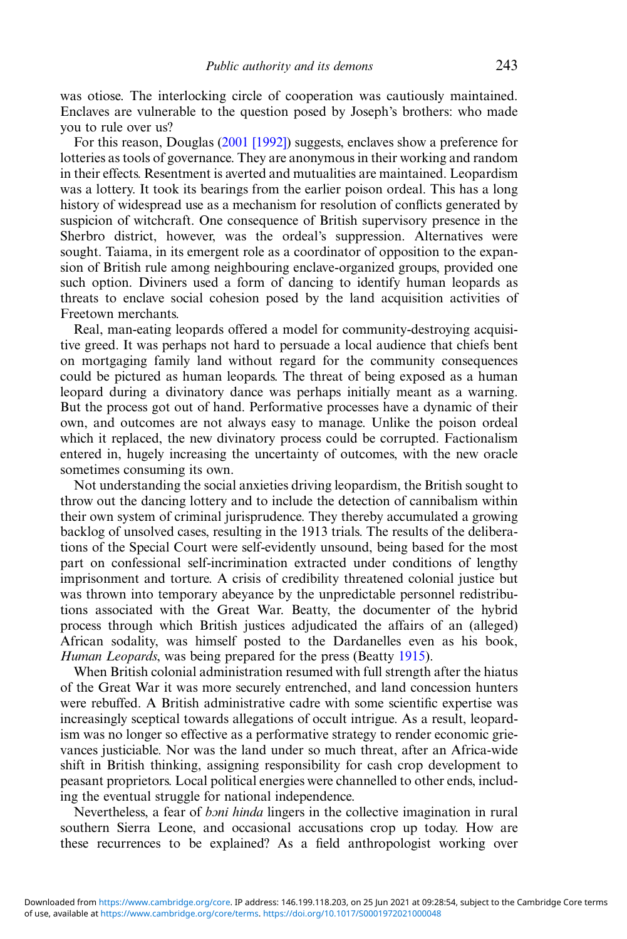was otiose. The interlocking circle of cooperation was cautiously maintained. Enclaves are vulnerable to the question posed by Joseph's brothers: who made you to rule over us?

For this reason, Douglas ([2001 \[1992\]](#page-20-0)) suggests, enclaves show a preference for lotteries as tools of governance. They are anonymous in their working and random in their effects. Resentment is averted and mutualities are maintained. Leopardism was a lottery. It took its bearings from the earlier poison ordeal. This has a long history of widespread use as a mechanism for resolution of conflicts generated by suspicion of witchcraft. One consequence of British supervisory presence in the Sherbro district, however, was the ordeal's suppression. Alternatives were sought. Taiama, in its emergent role as a coordinator of opposition to the expansion of British rule among neighbouring enclave-organized groups, provided one such option. Diviners used a form of dancing to identify human leopards as threats to enclave social cohesion posed by the land acquisition activities of Freetown merchants.

Real, man-eating leopards offered a model for community-destroying acquisitive greed. It was perhaps not hard to persuade a local audience that chiefs bent on mortgaging family land without regard for the community consequences could be pictured as human leopards. The threat of being exposed as a human leopard during a divinatory dance was perhaps initially meant as a warning. But the process got out of hand. Performative processes have a dynamic of their own, and outcomes are not always easy to manage. Unlike the poison ordeal which it replaced, the new divinatory process could be corrupted. Factionalism entered in, hugely increasing the uncertainty of outcomes, with the new oracle sometimes consuming its own.

Not understanding the social anxieties driving leopardism, the British sought to throw out the dancing lottery and to include the detection of cannibalism within their own system of criminal jurisprudence. They thereby accumulated a growing backlog of unsolved cases, resulting in the 1913 trials. The results of the deliberations of the Special Court were self-evidently unsound, being based for the most part on confessional self-incrimination extracted under conditions of lengthy imprisonment and torture. A crisis of credibility threatened colonial justice but was thrown into temporary abeyance by the unpredictable personnel redistributions associated with the Great War. Beatty, the documenter of the hybrid process through which British justices adjudicated the affairs of an (alleged) African sodality, was himself posted to the Dardanelles even as his book, Human Leopards, was being prepared for the press (Beatty [1915](#page-19-0)).

When British colonial administration resumed with full strength after the hiatus of the Great War it was more securely entrenched, and land concession hunters were rebuffed. A British administrative cadre with some scientific expertise was increasingly sceptical towards allegations of occult intrigue. As a result, leopardism was no longer so effective as a performative strategy to render economic grievances justiciable. Nor was the land under so much threat, after an Africa-wide shift in British thinking, assigning responsibility for cash crop development to peasant proprietors. Local political energies were channelled to other ends, including the eventual struggle for national independence.

Nevertheless, a fear of *boni hinda* lingers in the collective imagination in rural southern Sierra Leone, and occasional accusations crop up today. How are these recurrences to be explained? As a field anthropologist working over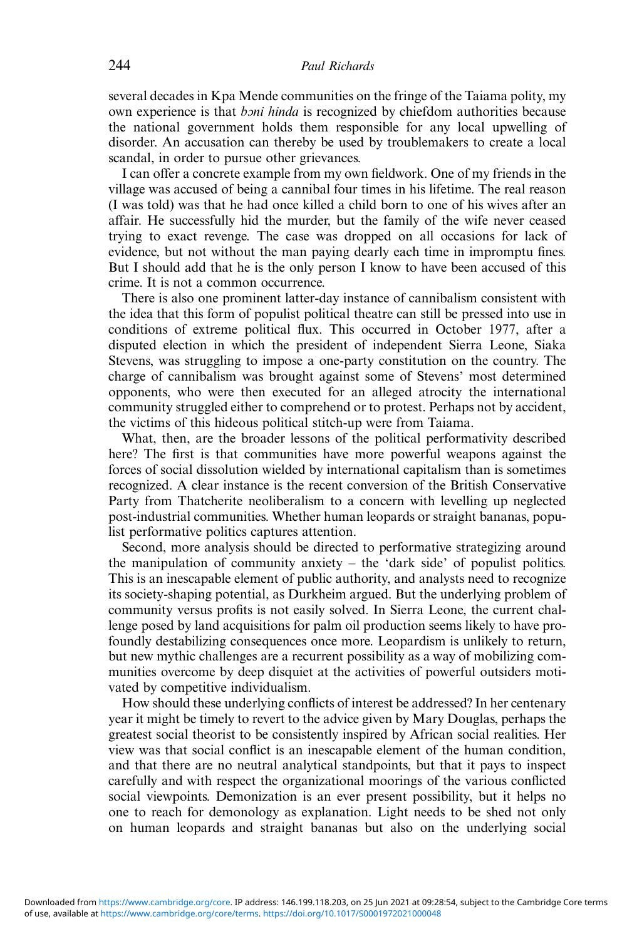several decades in Kpa Mende communities on the fringe of the Taiama polity, my own experience is that *boni hinda* is recognized by chiefdom authorities because the national government holds them responsible for any local upwelling of disorder. An accusation can thereby be used by troublemakers to create a local scandal, in order to pursue other grievances.

I can offer a concrete example from my own fieldwork. One of my friends in the village was accused of being a cannibal four times in his lifetime. The real reason (I was told) was that he had once killed a child born to one of his wives after an affair. He successfully hid the murder, but the family of the wife never ceased trying to exact revenge. The case was dropped on all occasions for lack of evidence, but not without the man paying dearly each time in impromptu fines. But I should add that he is the only person I know to have been accused of this crime. It is not a common occurrence.

There is also one prominent latter-day instance of cannibalism consistent with the idea that this form of populist political theatre can still be pressed into use in conditions of extreme political flux. This occurred in October 1977, after a disputed election in which the president of independent Sierra Leone, Siaka Stevens, was struggling to impose a one-party constitution on the country. The charge of cannibalism was brought against some of Stevens' most determined opponents, who were then executed for an alleged atrocity the international community struggled either to comprehend or to protest. Perhaps not by accident, the victims of this hideous political stitch-up were from Taiama.

What, then, are the broader lessons of the political performativity described here? The first is that communities have more powerful weapons against the forces of social dissolution wielded by international capitalism than is sometimes recognized. A clear instance is the recent conversion of the British Conservative Party from Thatcherite neoliberalism to a concern with levelling up neglected post-industrial communities. Whether human leopards or straight bananas, populist performative politics captures attention.

Second, more analysis should be directed to performative strategizing around the manipulation of community anxiety – the 'dark side' of populist politics. This is an inescapable element of public authority, and analysts need to recognize its society-shaping potential, as Durkheim argued. But the underlying problem of community versus profits is not easily solved. In Sierra Leone, the current challenge posed by land acquisitions for palm oil production seems likely to have profoundly destabilizing consequences once more. Leopardism is unlikely to return, but new mythic challenges are a recurrent possibility as a way of mobilizing communities overcome by deep disquiet at the activities of powerful outsiders motivated by competitive individualism.

How should these underlying conflicts of interest be addressed? In her centenary year it might be timely to revert to the advice given by Mary Douglas, perhaps the greatest social theorist to be consistently inspired by African social realities. Her view was that social conflict is an inescapable element of the human condition, and that there are no neutral analytical standpoints, but that it pays to inspect carefully and with respect the organizational moorings of the various conflicted social viewpoints. Demonization is an ever present possibility, but it helps no one to reach for demonology as explanation. Light needs to be shed not only on human leopards and straight bananas but also on the underlying social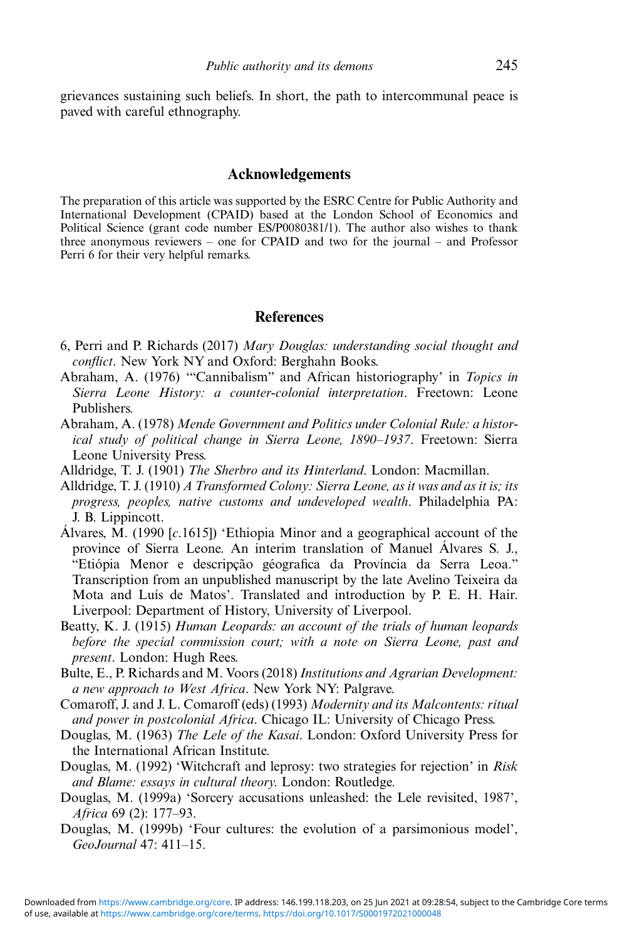<span id="page-19-0"></span>grievances sustaining such beliefs. In short, the path to intercommunal peace is paved with careful ethnography.

#### Acknowledgements

The preparation of this article was supported by the ESRC Centre for Public Authority and International Development (CPAID) based at the London School of Economics and Political Science (grant code number ES/P0080381/1). The author also wishes to thank three anonymous reviewers – one for CPAID and two for the journal – and Professor Perri 6 for their very helpful remarks.

#### **References**

- 6, Perri and P. Richards (2017) Mary Douglas: understanding social thought and conflict. New York NY and Oxford: Berghahn Books.
- Abraham, A. (1976) '"Cannibalism" and African historiography' in Topics in Sierra Leone History: a counter-colonial interpretation. Freetown: Leone Publishers.
- Abraham, A. (1978) Mende Government and Politics under Colonial Rule: a historical study of political change in Sierra Leone, 1890–1937. Freetown: Sierra Leone University Press.
- Alldridge, T. J. (1901) The Sherbro and its Hinterland. London: Macmillan.
- Alldridge, T. J. (1910) A Transformed Colony: Sierra Leone, as it was and as it is; its progress, peoples, native customs and undeveloped wealth. Philadelphia PA: J. B. Lippincott.
- Álvares, M. (1990 [c.1615]) 'Ethiopia Minor and a geographical account of the province of Sierra Leone. An interim translation of Manuel Álvares S. J., "Etiópia Menor e descripção géografica da Província da Serra Leoa." Transcription from an unpublished manuscript by the late Avelino Teixeira da Mota and Luís de Matos'. Translated and introduction by P. E. H. Hair. Liverpool: Department of History, University of Liverpool.
- Beatty, K. J. (1915) Human Leopards: an account of the trials of human leopards before the special commission court; with a note on Sierra Leone, past and present. London: Hugh Rees.
- Bulte, E., P. Richards and M. Voors (2018) Institutions and Agrarian Development: a new approach to West Africa. New York NY: Palgrave.
- Comaroff, J. and J. L. Comaroff (eds) (1993) Modernity and its Malcontents: ritual and power in postcolonial Africa. Chicago IL: University of Chicago Press.
- Douglas, M. (1963) The Lele of the Kasai. London: Oxford University Press for the International African Institute.
- Douglas, M. (1992) 'Witchcraft and leprosy: two strategies for rejection' in Risk and Blame: essays in cultural theory. London: Routledge.
- Douglas, M. (1999a) 'Sorcery accusations unleashed: the Lele revisited, 1987', Africa 69 (2): 177–93.
- Douglas, M. (1999b) 'Four cultures: the evolution of a parsimonious model', GeoJournal 47: 411–15.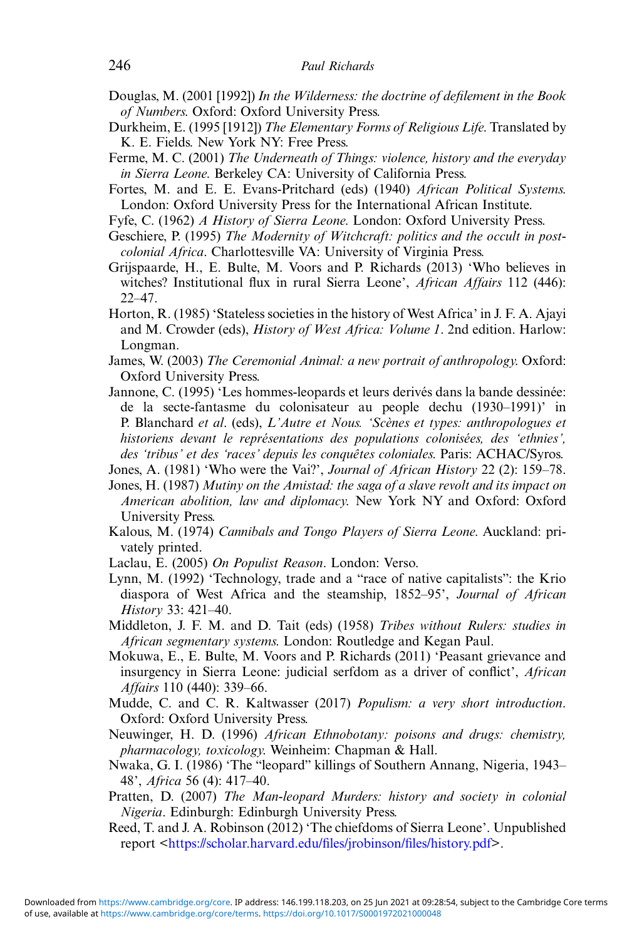- <span id="page-20-0"></span>Douglas, M. (2001 [1992]) In the Wilderness: the doctrine of defilement in the Book of Numbers. Oxford: Oxford University Press.
- Durkheim, E. (1995 [1912]) The Elementary Forms of Religious Life. Translated by K. E. Fields. New York NY: Free Press.
- Ferme, M. C. (2001) The Underneath of Things: violence, history and the everyday in Sierra Leone. Berkeley CA: University of California Press.
- Fortes, M. and E. E. Evans-Pritchard (eds) (1940) African Political Systems. London: Oxford University Press for the International African Institute.
- Fyfe, C. (1962) A History of Sierra Leone. London: Oxford University Press.
- Geschiere, P. (1995) The Modernity of Witchcraft: politics and the occult in postcolonial Africa. Charlottesville VA: University of Virginia Press.
- Grijspaarde, H., E. Bulte, M. Voors and P. Richards (2013) 'Who believes in witches? Institutional flux in rural Sierra Leone', African Affairs 112 (446):  $22-47$
- Horton, R. (1985) 'Stateless societies in the history of West Africa' in J. F. A. Ajayi and M. Crowder (eds), History of West Africa: Volume 1. 2nd edition. Harlow: Longman.
- James, W. (2003) The Ceremonial Animal: a new portrait of anthropology. Oxford: Oxford University Press.
- Jannone, C. (1995) 'Les hommes-leopards et leurs derivés dans la bande dessinée: de la secte-fantasme du colonisateur au people dechu (1930–1991)' in P. Blanchard et al. (eds), L'Autre et Nous. 'Scènes et types: anthropologues et historiens devant le représentations des populations colonisées, des 'ethnies', des 'tribus' et des 'races' depuis les conquêtes coloniales. Paris: ACHAC/Syros.
- Jones, A. (1981) 'Who were the Vai?', Journal of African History 22 (2): 159-78.
- Jones, H. (1987) Mutiny on the Amistad: the saga of a slave revolt and its impact on American abolition, law and diplomacy. New York NY and Oxford: Oxford University Press.
- Kalous, M. (1974) Cannibals and Tongo Players of Sierra Leone. Auckland: privately printed.
- Laclau, E. (2005) On Populist Reason. London: Verso.
- Lynn, M. (1992) 'Technology, trade and a "race of native capitalists": the Krio diaspora of West Africa and the steamship, 1852–95', Journal of African History 33: 421–40.
- Middleton, J. F. M. and D. Tait (eds) (1958) Tribes without Rulers: studies in African segmentary systems. London: Routledge and Kegan Paul.
- Mokuwa, E., E. Bulte, M. Voors and P. Richards (2011) 'Peasant grievance and insurgency in Sierra Leone: judicial serfdom as a driver of conflict', African Affairs 110 (440): 339–66.
- Mudde, C. and C. R. Kaltwasser (2017) Populism: a very short introduction. Oxford: Oxford University Press.
- Neuwinger, H. D. (1996) African Ethnobotany: poisons and drugs: chemistry, pharmacology, toxicology. Weinheim: Chapman & Hall.
- Nwaka, G. I. (1986) 'The "leopard" killings of Southern Annang, Nigeria, 1943– 48', Africa 56 (4): 417–40.
- Pratten, D. (2007) The Man-leopard Murders: history and society in colonial Nigeria. Edinburgh: Edinburgh University Press.
- Reed, T. and J. A. Robinson (2012) 'The chiefdoms of Sierra Leone'. Unpublished report <[https://scholar.harvard.edu/](https://scholar.harvard.edu/files/jrobinson/files/history.pdf)files/jrobinson/files/history.pdf>.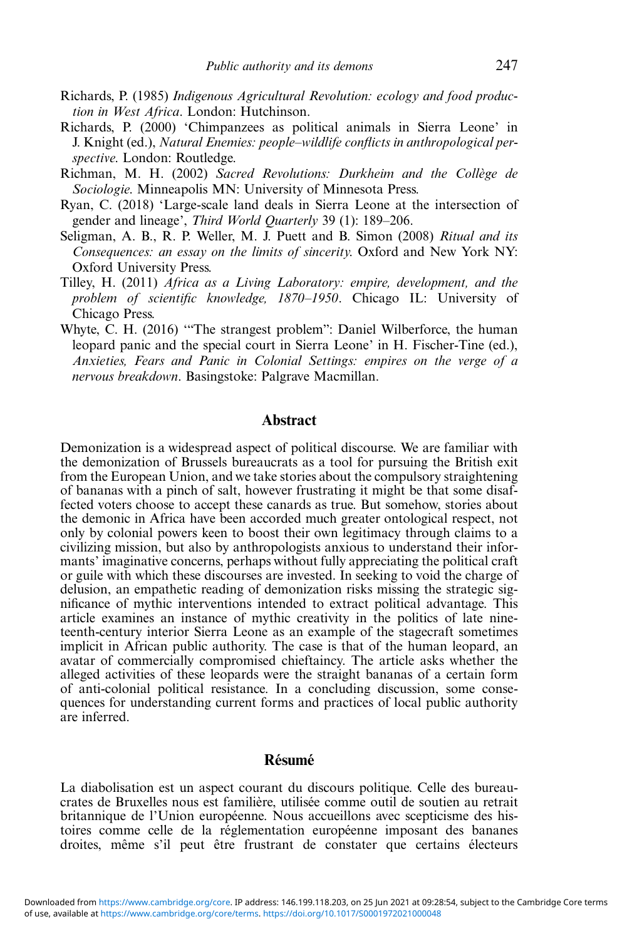- <span id="page-21-0"></span>Richards, P. (1985) Indigenous Agricultural Revolution: ecology and food production in West Africa. London: Hutchinson.
- Richards, P. (2000) 'Chimpanzees as political animals in Sierra Leone' in J. Knight (ed.), Natural Enemies: people–wildlife conflicts in anthropological perspective. London: Routledge.
- Richman, M. H. (2002) Sacred Revolutions: Durkheim and the Collège de Sociologie. Minneapolis MN: University of Minnesota Press.
- Ryan, C. (2018) 'Large-scale land deals in Sierra Leone at the intersection of gender and lineage', Third World Quarterly 39 (1): 189–206.
- Seligman, A. B., R. P. Weller, M. J. Puett and B. Simon (2008) Ritual and its Consequences: an essay on the limits of sincerity. Oxford and New York NY: Oxford University Press.
- Tilley, H. (2011) Africa as a Living Laboratory: empire, development, and the problem of scientific knowledge, 1870–1950. Chicago IL: University of Chicago Press.
- Whyte, C. H. (2016) "The strangest problem": Daniel Wilberforce, the human leopard panic and the special court in Sierra Leone' in H. Fischer-Tine (ed.), Anxieties, Fears and Panic in Colonial Settings: empires on the verge of a nervous breakdown. Basingstoke: Palgrave Macmillan.

#### Abstract

Demonization is a widespread aspect of political discourse. We are familiar with the demonization of Brussels bureaucrats as a tool for pursuing the British exit from the European Union, and we take stories about the compulsory straightening of bananas with a pinch of salt, however frustrating it might be that some disaffected voters choose to accept these canards as true. But somehow, stories about the demonic in Africa have been accorded much greater ontological respect, not only by colonial powers keen to boost their own legitimacy through claims to a civilizing mission, but also by anthropologists anxious to understand their informants' imaginative concerns, perhaps without fully appreciating the political craft or guile with which these discourses are invested. In seeking to void the charge of delusion, an empathetic reading of demonization risks missing the strategic significance of mythic interventions intended to extract political advantage. This article examines an instance of mythic creativity in the politics of late nineteenth-century interior Sierra Leone as an example of the stagecraft sometimes implicit in African public authority. The case is that of the human leopard, an avatar of commercially compromised chieftaincy. The article asks whether the alleged activities of these leopards were the straight bananas of a certain form of anti-colonial political resistance. In a concluding discussion, some consequences for understanding current forms and practices of local public authority are inferred.

# Résumé

La diabolisation est un aspect courant du discours politique. Celle des bureaucrates de Bruxelles nous est familière, utilisée comme outil de soutien au retrait britannique de l'Union européenne. Nous accueillons avec scepticisme des histoires comme celle de la réglementation européenne imposant des bananes droites, même s'il peut être frustrant de constater que certains électeurs